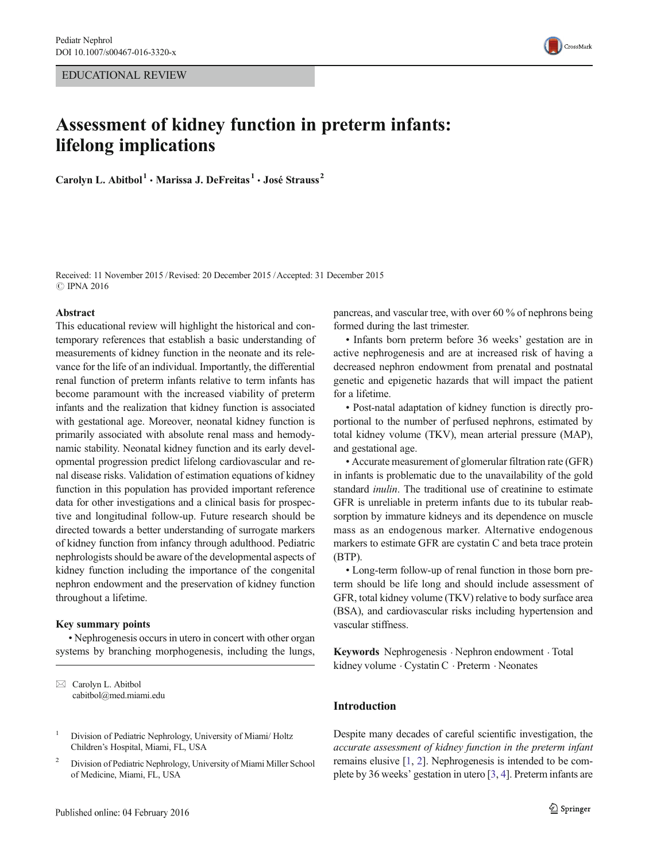

# Assessment of kidney function in preterm infants: lifelong implications

Carolyn L. Abitbol<sup>1</sup> · Marissa J. DeFreitas<sup>1</sup> · José Strauss<sup>2</sup>

Received: 11 November 2015 /Revised: 20 December 2015 /Accepted: 31 December 2015 C IPNA 2016

#### Abstract

This educational review will highlight the historical and contemporary references that establish a basic understanding of measurements of kidney function in the neonate and its relevance for the life of an individual. Importantly, the differential renal function of preterm infants relative to term infants has become paramount with the increased viability of preterm infants and the realization that kidney function is associated with gestational age. Moreover, neonatal kidney function is primarily associated with absolute renal mass and hemodynamic stability. Neonatal kidney function and its early developmental progression predict lifelong cardiovascular and renal disease risks. Validation of estimation equations of kidney function in this population has provided important reference data for other investigations and a clinical basis for prospective and longitudinal follow-up. Future research should be directed towards a better understanding of surrogate markers of kidney function from infancy through adulthood. Pediatric nephrologists should be aware of the developmental aspects of kidney function including the importance of the congenital nephron endowment and the preservation of kidney function throughout a lifetime.

#### Key summary points

• Nephrogenesis occurs in utero in concert with other organ systems by branching morphogenesis, including the lungs,

 $\boxtimes$  Carolyn L. Abitbol cabitbol@med.miami.edu

<sup>1</sup> Division of Pediatric Nephrology, University of Miami/ Holtz Children's Hospital, Miami, FL, USA

<sup>2</sup> Division of Pediatric Nephrology, University of Miami Miller School of Medicine, Miami, FL, USA

pancreas, and vascular tree, with over 60 % of nephrons being formed during the last trimester.

• Infants born preterm before 36 weeks' gestation are in active nephrogenesis and are at increased risk of having a decreased nephron endowment from prenatal and postnatal genetic and epigenetic hazards that will impact the patient for a lifetime.

• Post-natal adaptation of kidney function is directly proportional to the number of perfused nephrons, estimated by total kidney volume (TKV), mean arterial pressure (MAP), and gestational age.

• Accurate measurement of glomerular filtration rate (GFR) in infants is problematic due to the unavailability of the gold standard inulin. The traditional use of creatinine to estimate GFR is unreliable in preterm infants due to its tubular reabsorption by immature kidneys and its dependence on muscle mass as an endogenous marker. Alternative endogenous markers to estimate GFR are cystatin C and beta trace protein (BTP).

• Long-term follow-up of renal function in those born preterm should be life long and should include assessment of GFR, total kidney volume (TKV) relative to body surface area (BSA), and cardiovascular risks including hypertension and vascular stiffness.

Keywords Nephrogenesis . Nephron endowment . Total kidney volume . Cystatin C . Preterm . Neonates

## Introduction

Despite many decades of careful scientific investigation, the accurate assessment of kidney function in the preterm infant remains elusive [[1,](#page-7-0) [2\]](#page-7-0). Nephrogenesis is intended to be complete by 36 weeks' gestation in utero [\[3](#page-7-0), [4\]](#page-7-0). Preterm infants are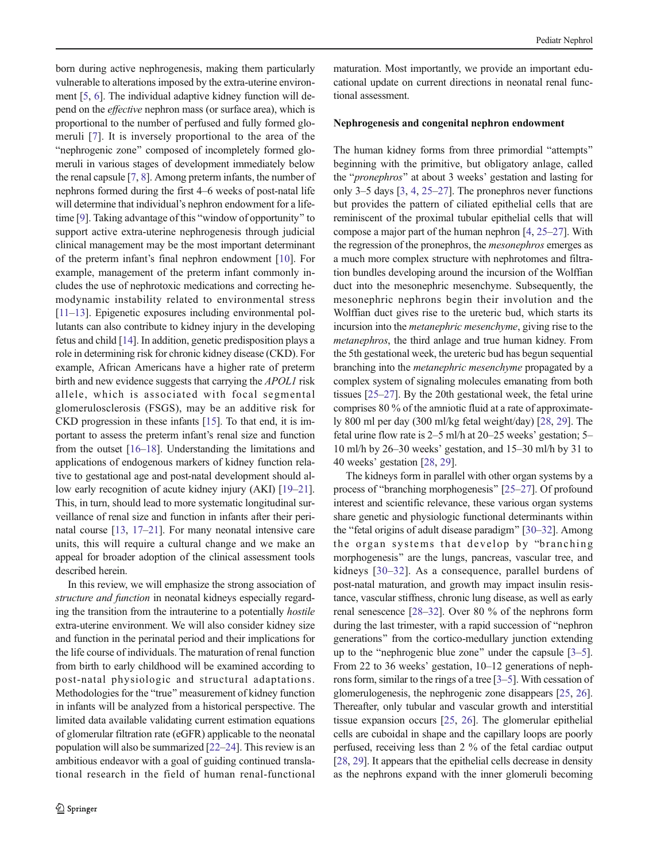born during active nephrogenesis, making them particularly vulnerable to alterations imposed by the extra-uterine environment [\[5](#page-7-0), [6](#page-7-0)]. The individual adaptive kidney function will depend on the effective nephron mass (or surface area), which is proportional to the number of perfused and fully formed glomeruli [[7\]](#page-7-0). It is inversely proportional to the area of the "nephrogenic zone" composed of incompletely formed glomeruli in various stages of development immediately below the renal capsule [\[7,](#page-7-0) [8](#page-7-0)]. Among preterm infants, the number of nephrons formed during the first 4–6 weeks of post-natal life will determine that individual's nephron endowment for a life-time [\[9](#page-7-0)]. Taking advantage of this "window of opportunity" to support active extra-uterine nephrogenesis through judicial clinical management may be the most important determinant of the preterm infant's final nephron endowment [\[10](#page-7-0)]. For example, management of the preterm infant commonly includes the use of nephrotoxic medications and correcting hemodynamic instability related to environmental stress [\[11](#page-7-0)–[13](#page-7-0)]. Epigenetic exposures including environmental pollutants can also contribute to kidney injury in the developing fetus and child [\[14\]](#page-7-0). In addition, genetic predisposition plays a role in determining risk for chronic kidney disease (CKD). For example, African Americans have a higher rate of preterm birth and new evidence suggests that carrying the APOL1 risk allele, which is associated with focal segmental glomerulosclerosis (FSGS), may be an additive risk for CKD progression in these infants [\[15\]](#page-7-0). To that end, it is important to assess the preterm infant's renal size and function from the outset [\[16](#page-8-0)–[18\]](#page-8-0). Understanding the limitations and applications of endogenous markers of kidney function relative to gestational age and post-natal development should allow early recognition of acute kidney injury (AKI) [\[19](#page-8-0)–[21\]](#page-8-0). This, in turn, should lead to more systematic longitudinal surveillance of renal size and function in infants after their perinatal course [[13](#page-7-0), [17](#page-8-0)–[21\]](#page-8-0). For many neonatal intensive care units, this will require a cultural change and we make an appeal for broader adoption of the clinical assessment tools described herein.

In this review, we will emphasize the strong association of structure and function in neonatal kidneys especially regarding the transition from the intrauterine to a potentially hostile extra-uterine environment. We will also consider kidney size and function in the perinatal period and their implications for the life course of individuals. The maturation of renal function from birth to early childhood will be examined according to post-natal physiologic and structural adaptations. Methodologies for the "true" measurement of kidney function in infants will be analyzed from a historical perspective. The limited data available validating current estimation equations of glomerular filtration rate (eGFR) applicable to the neonatal population will also be summarized [\[22](#page-8-0)–[24\]](#page-8-0). This review is an ambitious endeavor with a goal of guiding continued translational research in the field of human renal-functional

maturation. Most importantly, we provide an important educational update on current directions in neonatal renal functional assessment.

## Nephrogenesis and congenital nephron endowment

The human kidney forms from three primordial "attempts" beginning with the primitive, but obligatory anlage, called the "*pronephros*" at about 3 weeks' gestation and lasting for only 3–5 days [\[3](#page-7-0), [4](#page-7-0), [25](#page-8-0)–[27\]](#page-8-0). The pronephros never functions but provides the pattern of ciliated epithelial cells that are reminiscent of the proximal tubular epithelial cells that will compose a major part of the human nephron [\[4,](#page-7-0) [25](#page-8-0)–[27](#page-8-0)]. With the regression of the pronephros, the mesonephros emerges as a much more complex structure with nephrotomes and filtration bundles developing around the incursion of the Wolffian duct into the mesonephric mesenchyme. Subsequently, the mesonephric nephrons begin their involution and the Wolffian duct gives rise to the ureteric bud, which starts its incursion into the metanephric mesenchyme, giving rise to the metanephros, the third anlage and true human kidney. From the 5th gestational week, the ureteric bud has begun sequential branching into the metanephric mesenchyme propagated by a complex system of signaling molecules emanating from both tissues [[25](#page-8-0)–[27](#page-8-0)]. By the 20th gestational week, the fetal urine comprises 80 % of the amniotic fluid at a rate of approximately 800 ml per day (300 ml/kg fetal weight/day) [\[28,](#page-8-0) [29\]](#page-8-0). The fetal urine flow rate is 2–5 ml/h at 20–25 weeks' gestation; 5– 10 ml/h by 26–30 weeks' gestation, and 15–30 ml/h by 31 to 40 weeks' gestation [\[28](#page-8-0), [29\]](#page-8-0).

The kidneys form in parallel with other organ systems by a process of "branching morphogenesis"  $[25–27]$  $[25–27]$  $[25–27]$ . Of profound interest and scientific relevance, these various organ systems share genetic and physiologic functional determinants within the "fetal origins of adult disease paradigm"  $[30-32]$  $[30-32]$  $[30-32]$ . Among the organ systems that develop by "branching morphogenesis" are the lungs, pancreas, vascular tree, and kidneys [[30](#page-8-0)–[32](#page-8-0)]. As a consequence, parallel burdens of post-natal maturation, and growth may impact insulin resistance, vascular stiffness, chronic lung disease, as well as early renal senescence [\[28](#page-8-0)–[32\]](#page-8-0). Over 80 % of the nephrons form during the last trimester, with a rapid succession of "nephron" generations" from the cortico-medullary junction extending up to the "nephrogenic blue zone" under the capsule  $[3–5]$  $[3–5]$  $[3–5]$ . From 22 to 36 weeks' gestation,  $10-12$  generations of nephrons form, similar to the rings of a tree [[3](#page-7-0)–[5\]](#page-7-0). With cessation of glomerulogenesis, the nephrogenic zone disappears [[25](#page-8-0), [26\]](#page-8-0). Thereafter, only tubular and vascular growth and interstitial tissue expansion occurs [[25,](#page-8-0) [26\]](#page-8-0). The glomerular epithelial cells are cuboidal in shape and the capillary loops are poorly perfused, receiving less than 2 % of the fetal cardiac output [\[28](#page-8-0), [29\]](#page-8-0). It appears that the epithelial cells decrease in density as the nephrons expand with the inner glomeruli becoming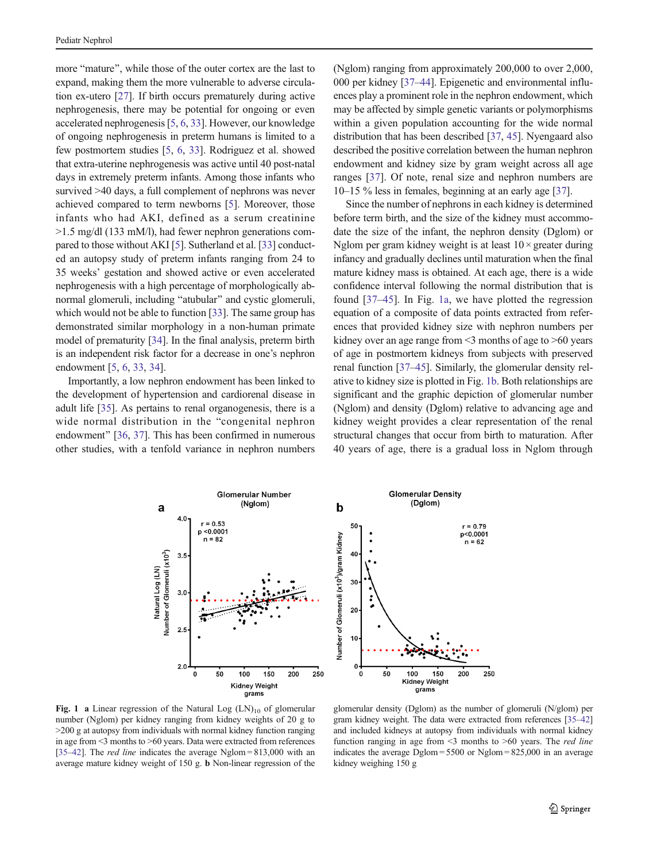more "mature", while those of the outer cortex are the last to expand, making them the more vulnerable to adverse circulation ex-utero [\[27](#page-8-0)]. If birth occurs prematurely during active nephrogenesis, there may be potential for ongoing or even accelerated nephrogenesis [\[5](#page-7-0), [6](#page-7-0), [33\]](#page-8-0). However, our knowledge of ongoing nephrogenesis in preterm humans is limited to a few postmortem studies [\[5,](#page-7-0) [6,](#page-7-0) [33](#page-8-0)]. Rodriguez et al. showed that extra-uterine nephrogenesis was active until 40 post-natal days in extremely preterm infants. Among those infants who survived >40 days, a full complement of nephrons was never achieved compared to term newborns [[5\]](#page-7-0). Moreover, those infants who had AKI, defined as a serum creatinine >1.5 mg/dl (133 mM/l), had fewer nephron generations compared to those without AKI [[5](#page-7-0)]. Sutherland et al. [\[33](#page-8-0)] conducted an autopsy study of preterm infants ranging from 24 to 35 weeks' gestation and showed active or even accelerated nephrogenesis with a high percentage of morphologically abnormal glomeruli, including "atubular" and cystic glomeruli, which would not be able to function [[33](#page-8-0)]. The same group has demonstrated similar morphology in a non-human primate model of prematurity [\[34\]](#page-8-0). In the final analysis, preterm birth is an independent risk factor for a decrease in one's nephron endowment [\[5](#page-7-0), [6](#page-7-0), [33,](#page-8-0) [34\]](#page-8-0).

Importantly, a low nephron endowment has been linked to the development of hypertension and cardiorenal disease in adult life [\[35](#page-8-0)]. As pertains to renal organogenesis, there is a wide normal distribution in the "congenital nephron endowment" [\[36](#page-8-0), [37](#page-8-0)]. This has been confirmed in numerous other studies, with a tenfold variance in nephron numbers (Nglom) ranging from approximately 200,000 to over 2,000, 000 per kidney [[37](#page-8-0)–[44](#page-8-0)]. Epigenetic and environmental influences play a prominent role in the nephron endowment, which may be affected by simple genetic variants or polymorphisms within a given population accounting for the wide normal distribution that has been described [\[37,](#page-8-0) [45\]](#page-8-0). Nyengaard also described the positive correlation between the human nephron endowment and kidney size by gram weight across all age ranges [\[37](#page-8-0)]. Of note, renal size and nephron numbers are 10–15 % less in females, beginning at an early age [\[37](#page-8-0)].

Since the number of nephrons in each kidney is determined before term birth, and the size of the kidney must accommodate the size of the infant, the nephron density (Dglom) or Nglom per gram kidney weight is at least  $10 \times$  greater during infancy and gradually declines until maturation when the final mature kidney mass is obtained. At each age, there is a wide confidence interval following the normal distribution that is found [\[37](#page-8-0)–[45](#page-8-0)]. In Fig. 1a, we have plotted the regression equation of a composite of data points extracted from references that provided kidney size with nephron numbers per kidney over an age range from <3 months of age to >60 years of age in postmortem kidneys from subjects with preserved renal function [[37](#page-8-0)–[45](#page-8-0)]. Similarly, the glomerular density relative to kidney size is plotted in Fig. 1b. Both relationships are significant and the graphic depiction of glomerular number (Nglom) and density (Dglom) relative to advancing age and kidney weight provides a clear representation of the renal structural changes that occur from birth to maturation. After 40 years of age, there is a gradual loss in Nglom through



Fig. 1 a Linear regression of the Natural Log  $(LN)_{10}$  of glomerular number (Nglom) per kidney ranging from kidney weights of 20 g to >200 g at autopsy from individuals with normal kidney function ranging in age from <3 months to >60 years. Data were extracted from references [[35](#page-8-0)–[42\]](#page-8-0). The *red line* indicates the average Nglom = 813,000 with an average mature kidney weight of 150 g. b Non-linear regression of the

glomerular density (Dglom) as the number of glomeruli (N/glom) per gram kidney weight. The data were extracted from references [[35](#page-8-0)–[42\]](#page-8-0) and included kidneys at autopsy from individuals with normal kidney function ranging in age from  $\leq$  months to  $\geq$  0 years. The *red line* indicates the average  $Dglom = 5500$  or  $Nglom = 825,000$  in an average kidney weighing 150 g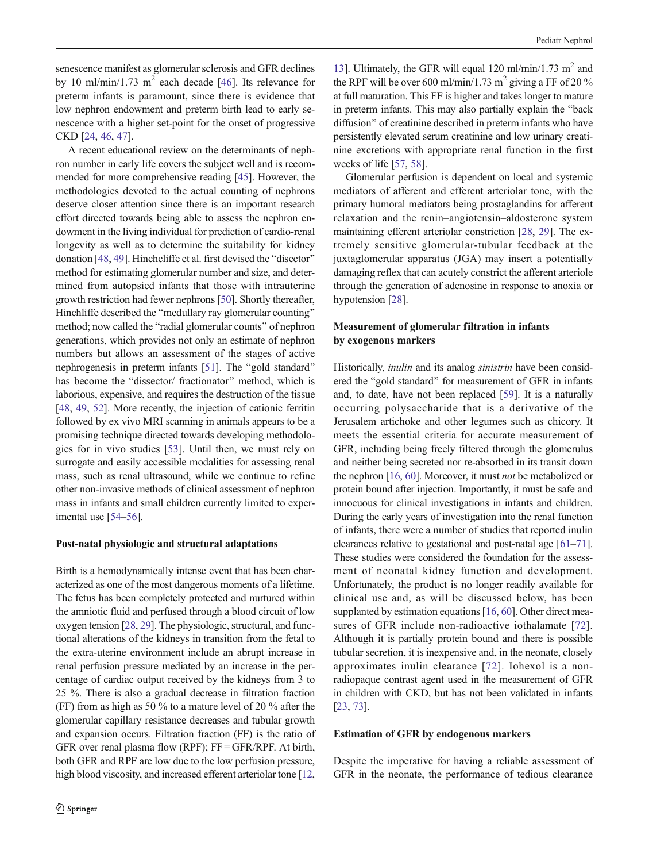senescence manifest as glomerular sclerosis and GFR declines by 10 ml/min/1.73 m<sup>2</sup> each decade [[46\]](#page-8-0). Its relevance for preterm infants is paramount, since there is evidence that low nephron endowment and preterm birth lead to early senescence with a higher set-point for the onset of progressive CKD [[24](#page-8-0), [46](#page-8-0), [47](#page-8-0)].

A recent educational review on the determinants of nephron number in early life covers the subject well and is recommended for more comprehensive reading [\[45](#page-8-0)]. However, the methodologies devoted to the actual counting of nephrons deserve closer attention since there is an important research effort directed towards being able to assess the nephron endowment in the living individual for prediction of cardio-renal longevity as well as to determine the suitability for kidney donation  $[48, 49]$  $[48, 49]$  $[48, 49]$ . Hinchcliffe et al. first devised the "disector" method for estimating glomerular number and size, and determined from autopsied infants that those with intrauterine growth restriction had fewer nephrons [\[50](#page-8-0)]. Shortly thereafter, Hinchliffe described the "medullary ray glomerular counting" method; now called the "radial glomerular counts" of nephron generations, which provides not only an estimate of nephron numbers but allows an assessment of the stages of active nephrogenesis in preterm infants [\[51\]](#page-8-0). The "gold standard" has become the "dissector/ fractionator" method, which is laborious, expensive, and requires the destruction of the tissue [\[48,](#page-8-0) [49,](#page-8-0) [52](#page-8-0)]. More recently, the injection of cationic ferritin followed by ex vivo MRI scanning in animals appears to be a promising technique directed towards developing methodologies for in vivo studies [\[53](#page-8-0)]. Until then, we must rely on surrogate and easily accessible modalities for assessing renal mass, such as renal ultrasound, while we continue to refine other non-invasive methods of clinical assessment of nephron mass in infants and small children currently limited to experimental use [\[54](#page-8-0)–[56\]](#page-9-0).

### Post-natal physiologic and structural adaptations

Birth is a hemodynamically intense event that has been characterized as one of the most dangerous moments of a lifetime. The fetus has been completely protected and nurtured within the amniotic fluid and perfused through a blood circuit of low oxygen tension [[28](#page-8-0), [29](#page-8-0)]. The physiologic, structural, and functional alterations of the kidneys in transition from the fetal to the extra-uterine environment include an abrupt increase in renal perfusion pressure mediated by an increase in the percentage of cardiac output received by the kidneys from 3 to 25 %. There is also a gradual decrease in filtration fraction (FF) from as high as 50 % to a mature level of 20 % after the glomerular capillary resistance decreases and tubular growth and expansion occurs. Filtration fraction (FF) is the ratio of GFR over renal plasma flow (RPF); FF = GFR/RPF. At birth, both GFR and RPF are low due to the low perfusion pressure, high blood viscosity, and increased efferent arteriolar tone [[12,](#page-7-0)

[13\]](#page-7-0). Ultimately, the GFR will equal 120 ml/min/1.73 m<sup>2</sup> and the RPF will be over 600 ml/min/1.73 m<sup>2</sup> giving a FF of 20  $\%$ at full maturation. This FF is higher and takes longer to mature in preterm infants. This may also partially explain the "back" diffusion" of creatinine described in preterm infants who have persistently elevated serum creatinine and low urinary creatinine excretions with appropriate renal function in the first weeks of life [\[57,](#page-9-0) [58\]](#page-9-0).

Glomerular perfusion is dependent on local and systemic mediators of afferent and efferent arteriolar tone, with the primary humoral mediators being prostaglandins for afferent relaxation and the renin–angiotensin–aldosterone system maintaining efferent arteriolar constriction [\[28,](#page-8-0) [29](#page-8-0)]. The extremely sensitive glomerular-tubular feedback at the juxtaglomerular apparatus (JGA) may insert a potentially damaging reflex that can acutely constrict the afferent arteriole through the generation of adenosine in response to anoxia or hypotension [\[28](#page-8-0)].

## Measurement of glomerular filtration in infants by exogenous markers

Historically, inulin and its analog sinistrin have been considered the "gold standard" for measurement of GFR in infants and, to date, have not been replaced [[59\]](#page-9-0). It is a naturally occurring polysaccharide that is a derivative of the Jerusalem artichoke and other legumes such as chicory. It meets the essential criteria for accurate measurement of GFR, including being freely filtered through the glomerulus and neither being secreted nor re-absorbed in its transit down the nephron [\[16](#page-8-0), [60\]](#page-9-0). Moreover, it must not be metabolized or protein bound after injection. Importantly, it must be safe and innocuous for clinical investigations in infants and children. During the early years of investigation into the renal function of infants, there were a number of studies that reported inulin clearances relative to gestational and post-natal age [\[61](#page-9-0)–[71\]](#page-9-0). These studies were considered the foundation for the assessment of neonatal kidney function and development. Unfortunately, the product is no longer readily available for clinical use and, as will be discussed below, has been supplanted by estimation equations [[16,](#page-8-0) [60\]](#page-9-0). Other direct mea-sures of GFR include non-radioactive iothalamate [[72](#page-9-0)]. Although it is partially protein bound and there is possible tubular secretion, it is inexpensive and, in the neonate, closely approximates inulin clearance [[72\]](#page-9-0). Iohexol is a nonradiopaque contrast agent used in the measurement of GFR in children with CKD, but has not been validated in infants [\[23](#page-8-0), [73\]](#page-9-0).

#### Estimation of GFR by endogenous markers

Despite the imperative for having a reliable assessment of GFR in the neonate, the performance of tedious clearance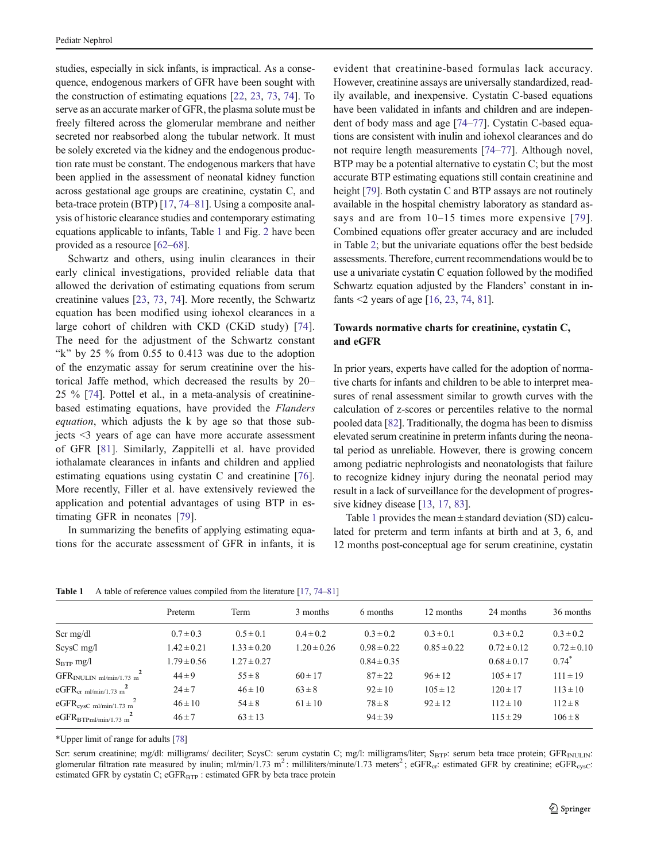<span id="page-4-0"></span>studies, especially in sick infants, is impractical. As a consequence, endogenous markers of GFR have been sought with the construction of estimating equations [\[22](#page-8-0), [23,](#page-8-0) [73,](#page-9-0) [74](#page-9-0)]. To serve as an accurate marker of GFR, the plasma solute must be freely filtered across the glomerular membrane and neither secreted nor reabsorbed along the tubular network. It must be solely excreted via the kidney and the endogenous production rate must be constant. The endogenous markers that have been applied in the assessment of neonatal kidney function across gestational age groups are creatinine, cystatin C, and beta-trace protein (BTP) [[17](#page-8-0), [74](#page-9-0)–[81\]](#page-9-0). Using a composite analysis of historic clearance studies and contemporary estimating equations applicable to infants, Table 1 and Fig. [2](#page-5-0) have been provided as a resource [\[62](#page-9-0)–[68\]](#page-9-0).

Schwartz and others, using inulin clearances in their early clinical investigations, provided reliable data that allowed the derivation of estimating equations from serum creatinine values [[23,](#page-8-0) [73,](#page-9-0) [74](#page-9-0)]. More recently, the Schwartz equation has been modified using iohexol clearances in a large cohort of children with CKD (CKiD study) [\[74](#page-9-0)]. The need for the adjustment of the Schwartz constant "k" by 25 % from  $0.55$  to 0.413 was due to the adoption of the enzymatic assay for serum creatinine over the historical Jaffe method, which decreased the results by 20– 25 % [[74\]](#page-9-0). Pottel et al., in a meta-analysis of creatininebased estimating equations, have provided the Flanders equation, which adjusts the k by age so that those subjects <3 years of age can have more accurate assessment of GFR [\[81\]](#page-9-0). Similarly, Zappitelli et al. have provided iothalamate clearances in infants and children and applied estimating equations using cystatin C and creatinine [\[76](#page-9-0)]. More recently, Filler et al. have extensively reviewed the application and potential advantages of using BTP in estimating GFR in neonates [[79\]](#page-9-0).

In summarizing the benefits of applying estimating equations for the accurate assessment of GFR in infants, it is evident that creatinine-based formulas lack accuracy. However, creatinine assays are universally standardized, readily available, and inexpensive. Cystatin C-based equations have been validated in infants and children and are independent of body mass and age [\[74](#page-9-0)–[77\]](#page-9-0). Cystatin C-based equations are consistent with inulin and iohexol clearances and do not require length measurements [[74](#page-9-0)–[77\]](#page-9-0). Although novel, BTP may be a potential alternative to cystatin C; but the most accurate BTP estimating equations still contain creatinine and height [[79\]](#page-9-0). Both cystatin C and BTP assays are not routinely available in the hospital chemistry laboratory as standard assays and are from 10–15 times more expensive [[79](#page-9-0)]. Combined equations offer greater accuracy and are included in Table [2](#page-5-0); but the univariate equations offer the best bedside assessments. Therefore, current recommendations would be to use a univariate cystatin C equation followed by the modified Schwartz equation adjusted by the Flanders' constant in infants <2 years of age [[16](#page-8-0), [23](#page-8-0), [74](#page-9-0), [81\]](#page-9-0).

## Towards normative charts for creatinine, cystatin C, and eGFR

In prior years, experts have called for the adoption of normative charts for infants and children to be able to interpret measures of renal assessment similar to growth curves with the calculation of z-scores or percentiles relative to the normal pooled data [\[82\]](#page-9-0). Traditionally, the dogma has been to dismiss elevated serum creatinine in preterm infants during the neonatal period as unreliable. However, there is growing concern among pediatric nephrologists and neonatologists that failure to recognize kidney injury during the neonatal period may result in a lack of surveillance for the development of progres-sive kidney disease [\[13,](#page-7-0) [17,](#page-8-0) [83\]](#page-9-0).

Table 1 provides the mean ± standard deviation (SD) calculated for preterm and term infants at birth and at 3, 6, and 12 months post-conceptual age for serum creatinine, cystatin

|  |  | <b>Table 1</b> A table of reference values compiled from the literature [17, 74–81] |  |
|--|--|-------------------------------------------------------------------------------------|--|
|--|--|-------------------------------------------------------------------------------------|--|

|                                                    | Preterm         | Term            | 3 months        | 6 months        | 12 months       | 24 months       | 36 months           |
|----------------------------------------------------|-----------------|-----------------|-----------------|-----------------|-----------------|-----------------|---------------------|
| $Scr$ mg/dl                                        | $0.7 \pm 0.3$   | $0.5 \pm 0.1$   | $0.4 \pm 0.2$   | $0.3 \pm 0.2$   | $0.3 \pm 0.1$   | $0.3 \pm 0.2$   | $0.3 \pm 0.2$       |
| ScysC mg/l                                         | $1.42 \pm 0.21$ | $1.33 \pm 0.20$ | $1.20 \pm 0.26$ | $0.98 \pm 0.22$ | $0.85 \pm 0.22$ | $0.72 \pm 0.12$ | $0.72 \pm 0.10$     |
| $S_{\rm BTP}$ mg/l                                 | $1.79 \pm 0.56$ | $1.27 \pm 0.27$ |                 | $0.84 \pm 0.35$ |                 | $0.68 \pm 0.17$ | $0.74$ <sup>*</sup> |
| $GFR$ <sub>INULIN</sub> ml/min/1.73 m <sup>2</sup> | $44 \pm 9$      | $55 \pm 8$      | $60 \pm 17$     | $87 + 22$       | $96 \pm 12$     | $105 \pm 17$    | $111 \pm 19$        |
| eGFR <sub>cr ml/min/1.73</sub> m <sup>2</sup>      | $24 \pm 7$      | $46 \pm 10$     | $63 \pm 8$      | $92 \pm 10$     | $105 \pm 12$    | $120 \pm 17$    | $113 \pm 10$        |
| eGFR <sub>cysC</sub> ml/min/1.73 m <sup>2</sup>    | $46 \pm 10$     | $54 \pm 8$      | $61 \pm 10$     | $78 \pm 8$      | $92 \pm 12$     | $112 \pm 10$    | $112 \pm 8$         |
| eGFR <sub>BTPml/min/1.73</sub> m <sup>2</sup>      | $46 \pm 7$      | $63 \pm 13$     |                 | $94 \pm 39$     |                 | $115 \pm 29$    | $106 \pm 8$         |

\*Upper limit of range for adults [[78](#page-9-0)]

Scr: serum creatinine; mg/dl: milligrams/ deciliter; ScysC: serum cystatin C; mg/l: milligrams/liter; S<sub>BTP</sub>: serum beta trace protein; GFRINULIN: glomerular filtration rate measured by inulin; ml/min/1.73 m<sup>2</sup>: milliliters/minute/1.73 meters<sup>2</sup>; eGFR<sub>cr</sub>: estimated GFR by creatinine; eGFR<sub>cysC</sub>: estimated GFR by cystatin C;  $eGFR_{\text{BTP}}$  : estimated GFR by beta trace protein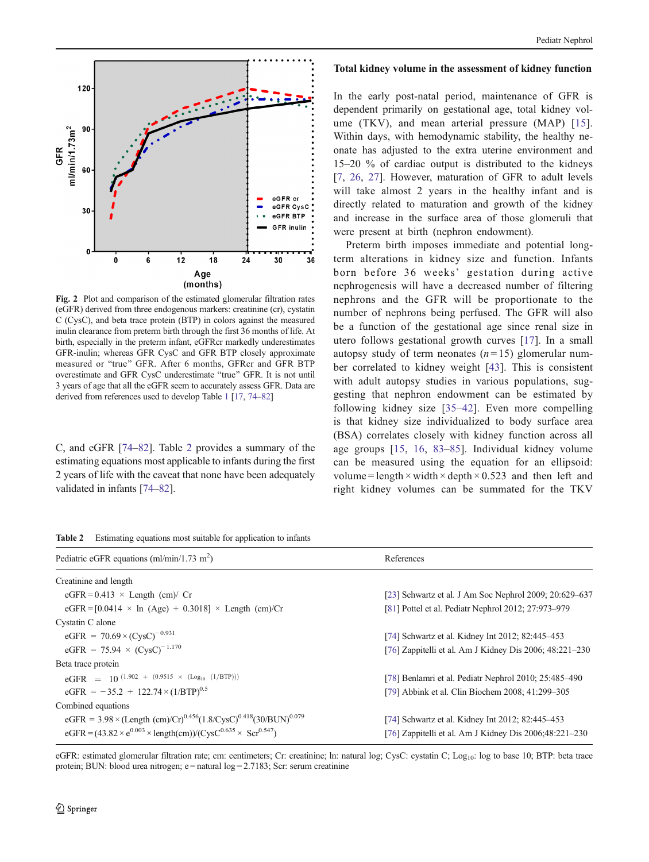<span id="page-5-0"></span>

Fig. 2 Plot and comparison of the estimated glomerular filtration rates (eGFR) derived from three endogenous markers: creatinine (cr), cystatin C (CysC), and beta trace protein (BTP) in colors against the measured inulin clearance from preterm birth through the first 36 months of life. At birth, especially in the preterm infant, eGFRcr markedly underestimates GFR-inulin; whereas GFR CysC and GFR BTP closely approximate measured or "true" GFR. After 6 months, GFRcr and GFR BTP overestimate and GFR CysC underestimate "true" GFR. It is not until 3 years of age that all the eGFR seem to accurately assess GFR. Data are derived from references used to develop Table [1](#page-4-0) [\[17](#page-8-0), [74](#page-9-0)–[82](#page-9-0)]

C, and eGFR [\[74](#page-9-0)–[82\]](#page-9-0). Table 2 provides a summary of the estimating equations most applicable to infants during the first 2 years of life with the caveat that none have been adequately validated in infants [\[74](#page-9-0)–[82\]](#page-9-0).

#### Total kidney volume in the assessment of kidney function

In the early post-natal period, maintenance of GFR is dependent primarily on gestational age, total kidney volume (TKV), and mean arterial pressure (MAP) [[15](#page-7-0)]. Within days, with hemodynamic stability, the healthy neonate has adjusted to the extra uterine environment and 15–20 % of cardiac output is distributed to the kidneys [\[7](#page-7-0), [26](#page-8-0), [27](#page-8-0)]. However, maturation of GFR to adult levels will take almost 2 years in the healthy infant and is directly related to maturation and growth of the kidney and increase in the surface area of those glomeruli that were present at birth (nephron endowment).

Preterm birth imposes immediate and potential longterm alterations in kidney size and function. Infants born before 36 weeks' gestation during active nephrogenesis will have a decreased number of filtering nephrons and the GFR will be proportionate to the number of nephrons being perfused. The GFR will also be a function of the gestational age since renal size in utero follows gestational growth curves [[17\]](#page-8-0). In a small autopsy study of term neonates  $(n=15)$  glomerular number correlated to kidney weight [[43](#page-8-0)]. This is consistent with adult autopsy studies in various populations, suggesting that nephron endowment can be estimated by following kidney size [[35](#page-8-0)–[42\]](#page-8-0). Even more compelling is that kidney size individualized to body surface area (BSA) correlates closely with kidney function across all age groups [[15,](#page-7-0) [16,](#page-8-0) [83](#page-9-0)–[85](#page-9-0)]. Individual kidney volume can be measured using the equation for an ellipsoid: volume = length  $\times$  width  $\times$  depth  $\times$  0.523 and then left and right kidney volumes can be summated for the TKV

Table 2 Estimating equations most suitable for application to infants

| Pediatric eGFR equations (ml/min/1.73 m <sup>2</sup> )                                                       | References                                                   |  |  |  |
|--------------------------------------------------------------------------------------------------------------|--------------------------------------------------------------|--|--|--|
| Creatinine and length                                                                                        |                                                              |  |  |  |
| $eGFR = 0.413 \times Length (cm) / Cr$                                                                       | [23] Schwartz et al. J Am Soc Nephrol 2009; 20:629–637       |  |  |  |
| $eGFR = [0.0414 \times \ln (Age) + 0.3018] \times Length (cm)/Cr$                                            | [81] Pottel et al. Pediatr Nephrol 2012; 27:973-979          |  |  |  |
| Cystatin C alone                                                                                             |                                                              |  |  |  |
| $eGFR = 70.69 \times (CysC)^{-0.931}$                                                                        | [74] Schwartz et al. Kidney Int 2012; 82:445–453             |  |  |  |
| eGFR = $75.94 \times (CysC)^{-1.170}$                                                                        | [76] Zappitelli et al. Am J Kidney Dis $2006$ ; $48:221-230$ |  |  |  |
| Beta trace protein                                                                                           |                                                              |  |  |  |
| eGFR = 10 $(1.902 + (0.9515 \times (Log_{10} (1/BTP)))$                                                      | [78] Benlamri et al. Pediatr Nephrol 2010; 25:485-490        |  |  |  |
| $eGFR = -35.2 + 122.74 \times (1/BTP)^{0.5}$                                                                 | [79] Abbink et al. Clin Biochem 2008; 41:299-305             |  |  |  |
| Combined equations                                                                                           |                                                              |  |  |  |
| eGFR = $3.98 \times$ (Length (cm)/Cr) <sup>0.456</sup> (1.8/CysC) <sup>0.418</sup> (30/BUN) <sup>0.079</sup> | [74] Schwartz et al. Kidney Int 2012; 82:445-453             |  |  |  |
| $eGFR = (43.82 \times e^{0.003} \times length(cm)/(CysC^{0.635} \times Scr^{0.547})$                         | [76] Zappitelli et al. Am J Kidney Dis $2006:48:221-230$     |  |  |  |

eGFR: estimated glomerular filtration rate; cm: centimeters; Cr: creatinine; ln: natural log; CysC: cystatin C; Log<sub>10</sub>: log to base 10; BTP: beta trace protein; BUN: blood urea nitrogen; e = natural log = 2.7183; Scr: serum creatinine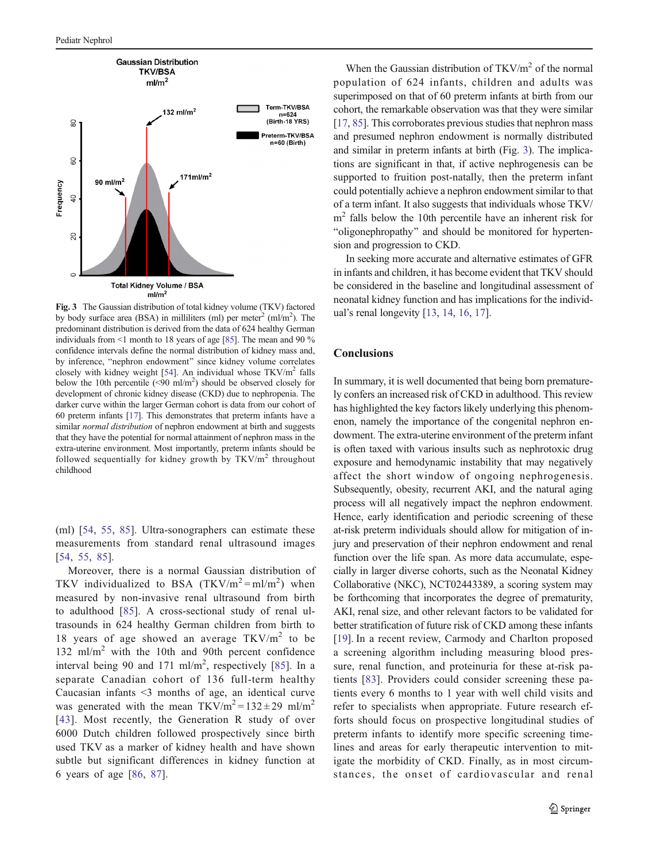

Fig. 3 The Gaussian distribution of total kidney volume (TKV) factored by body surface area (BSA) in milliliters (ml) per meter<sup>2</sup> (ml/m<sup>2</sup>). The predominant distribution is derived from the data of 624 healthy German individuals from <1 month to 18 years of age [[85\]](#page-9-0). The mean and 90 % confidence intervals define the normal distribution of kidney mass and, by inference, "nephron endowment" since kidney volume correlates closely with kidney weight [[54](#page-8-0)]. An individual whose  $TKV/m<sup>2</sup>$  falls below the 10th percentile  $(<,90 \text{ ml/m}^2)$  should be observed closely for development of chronic kidney disease (CKD) due to nephropenia. The darker curve within the larger German cohort is data from our cohort of 60 preterm infants [\[17\]](#page-8-0). This demonstrates that preterm infants have a similar normal distribution of nephron endowment at birth and suggests that they have the potential for normal attainment of nephron mass in the extra-uterine environment. Most importantly, preterm infants should be followed sequentially for kidney growth by  $TKV/m<sup>2</sup>$  throughout childhood

(ml) [[54](#page-8-0), [55](#page-8-0), [85](#page-9-0)]. Ultra-sonographers can estimate these measurements from standard renal ultrasound images [\[54,](#page-8-0) [55,](#page-8-0) [85](#page-9-0)].

Moreover, there is a normal Gaussian distribution of TKV individualized to BSA  $(TKV/m^2 = ml/m^2)$  when measured by non-invasive renal ultrasound from birth to adulthood [\[85](#page-9-0)]. A cross-sectional study of renal ultrasounds in 624 healthy German children from birth to 18 years of age showed an average  $TKV/m<sup>2</sup>$  to be 132 ml/m<sup>2</sup> with the 10th and 90th percent confidence interval being 90 and 171 ml/m<sup>2</sup>, respectively [\[85](#page-9-0)]. In a separate Canadian cohort of 136 full-term healthy Caucasian infants <3 months of age, an identical curve was generated with the mean TKV/m<sup>2</sup> =  $132 \pm 29$  ml/m<sup>2</sup> [\[43\]](#page-8-0). Most recently, the Generation R study of over 6000 Dutch children followed prospectively since birth used TKV as a marker of kidney health and have shown subtle but significant differences in kidney function at 6 years of age [[86](#page-9-0), [87\]](#page-9-0).

When the Gaussian distribution of  $TKV/m<sup>2</sup>$  of the normal population of 624 infants, children and adults was superimposed on that of 60 preterm infants at birth from our cohort, the remarkable observation was that they were similar [\[17](#page-8-0), [85](#page-9-0)]. This corroborates previous studies that nephron mass and presumed nephron endowment is normally distributed and similar in preterm infants at birth (Fig. 3). The implications are significant in that, if active nephrogenesis can be supported to fruition post-natally, then the preterm infant could potentially achieve a nephron endowment similar to that of a term infant. It also suggests that individuals whose TKV/  $m<sup>2</sup>$  falls below the 10th percentile have an inherent risk for "oligonephropathy" and should be monitored for hypertension and progression to CKD.

In seeking more accurate and alternative estimates of GFR in infants and children, it has become evident that TKV should be considered in the baseline and longitudinal assessment of neonatal kidney function and has implications for the individual's renal longevity [\[13,](#page-7-0) [14,](#page-7-0) [16,](#page-8-0) [17\]](#page-8-0).

## **Conclusions**

In summary, it is well documented that being born prematurely confers an increased risk of CKD in adulthood. This review has highlighted the key factors likely underlying this phenomenon, namely the importance of the congenital nephron endowment. The extra-uterine environment of the preterm infant is often taxed with various insults such as nephrotoxic drug exposure and hemodynamic instability that may negatively affect the short window of ongoing nephrogenesis. Subsequently, obesity, recurrent AKI, and the natural aging process will all negatively impact the nephron endowment. Hence, early identification and periodic screening of these at-risk preterm individuals should allow for mitigation of injury and preservation of their nephron endowment and renal function over the life span. As more data accumulate, especially in larger diverse cohorts, such as the Neonatal Kidney Collaborative (NKC), NCT02443389, a scoring system may be forthcoming that incorporates the degree of prematurity, AKI, renal size, and other relevant factors to be validated for better stratification of future risk of CKD among these infants [\[19](#page-8-0)]. In a recent review, Carmody and Charlton proposed a screening algorithm including measuring blood pressure, renal function, and proteinuria for these at-risk patients [[83\]](#page-9-0). Providers could consider screening these patients every 6 months to 1 year with well child visits and refer to specialists when appropriate. Future research efforts should focus on prospective longitudinal studies of preterm infants to identify more specific screening timelines and areas for early therapeutic intervention to mitigate the morbidity of CKD. Finally, as in most circumstances, the onset of cardiovascular and renal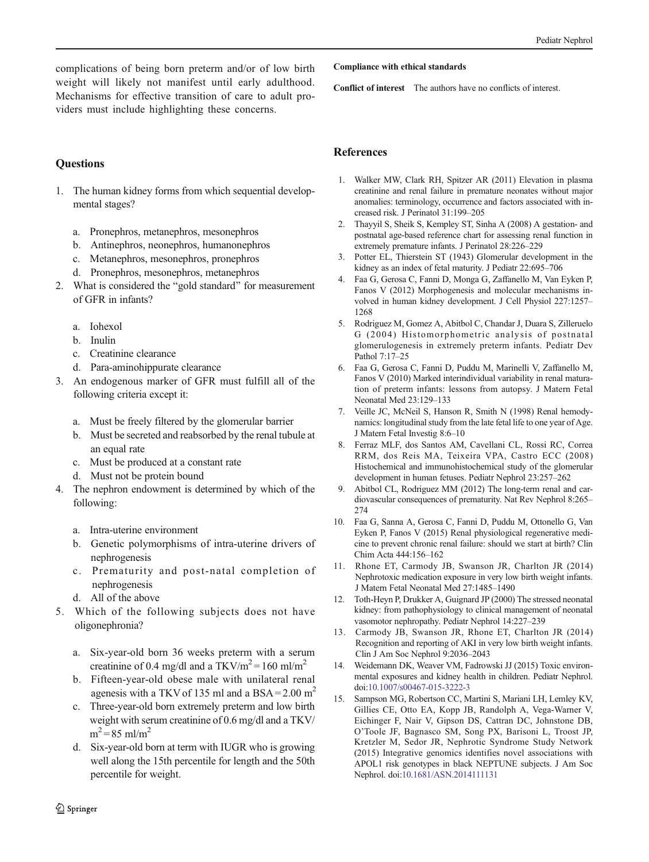<span id="page-7-0"></span>complications of being born preterm and/or of low birth weight will likely not manifest until early adulthood. Mechanisms for effective transition of care to adult providers must include highlighting these concerns.

## **Questions**

- 1. The human kidney forms from which sequential developmental stages?
	- a. Pronephros, metanephros, mesonephros
	- b. Antinephros, neonephros, humanonephros
	- c. Metanephros, mesonephros, pronephros
	- d. Pronephros, mesonephros, metanephros
- 2. What is considered the "gold standard" for measurement of GFR in infants?
	- a. Iohexol
	- b. Inulin
	- c. Creatinine clearance
	- d. Para-aminohippurate clearance
- 3. An endogenous marker of GFR must fulfill all of the following criteria except it:
	- a. Must be freely filtered by the glomerular barrier
	- b. Must be secreted and reabsorbed by the renal tubule at an equal rate
	- c. Must be produced at a constant rate
	- d. Must not be protein bound
- 4. The nephron endowment is determined by which of the following:
	- a. Intra-uterine environment
	- b. Genetic polymorphisms of intra-uterine drivers of nephrogenesis
	- c. Prematurity and post-natal completion of nephrogenesis
	- d. All of the above
- 5. Which of the following subjects does not have oligonephronia?
	- a. Six-year-old born 36 weeks preterm with a serum creatinine of 0.4 mg/dl and a TKV/m<sup>2</sup> = 160 ml/m<sup>2</sup>
	- b. Fifteen-year-old obese male with unilateral renal agenesis with a TKV of 135 ml and a BSA =  $2.00 \text{ m}^2$
	- c. Three-year-old born extremely preterm and low birth weight with serum creatinine of 0.6 mg/dl and a TKV/  $m^2$  = 85 ml/m<sup>2</sup>
	- d. Six-year-old born at term with IUGR who is growing well along the 15th percentile for length and the 50th percentile for weight.

## Compliance with ethical standards

Conflict of interest The authors have no conflicts of interest.

## References

- 1. Walker MW, Clark RH, Spitzer AR (2011) Elevation in plasma creatinine and renal failure in premature neonates without major anomalies: terminology, occurrence and factors associated with increased risk. J Perinatol 31:199–205
- 2. Thayyil S, Sheik S, Kempley ST, Sinha A (2008) A gestation- and postnatal age-based reference chart for assessing renal function in extremely premature infants. J Perinatol 28:226–229
- 3. Potter EL, Thierstein ST (1943) Glomerular development in the kidney as an index of fetal maturity. J Pediatr 22:695–706
- 4. Faa G, Gerosa C, Fanni D, Monga G, Zaffanello M, Van Eyken P, Fanos V (2012) Morphogenesis and molecular mechanisms involved in human kidney development. J Cell Physiol 227:1257– 1268
- 5. Rodriguez M, Gomez A, Abitbol C, Chandar J, Duara S, Zilleruelo G (2004) Histomorphometric analysis of postnatal glomerulogenesis in extremely preterm infants. Pediatr Dev Pathol 7:17–25
- 6. Faa G, Gerosa C, Fanni D, Puddu M, Marinelli V, Zaffanello M, Fanos V (2010) Marked interindividual variability in renal maturation of preterm infants: lessons from autopsy. J Matern Fetal Neonatal Med 23:129–133
- 7. Veille JC, McNeil S, Hanson R, Smith N (1998) Renal hemodynamics: longitudinal study from the late fetal life to one year of Age. J Matern Fetal Investig 8:6–10
- 8. Ferraz MLF, dos Santos AM, Cavellani CL, Rossi RC, Correa RRM, dos Reis MA, Teixeira VPA, Castro ECC (2008) Histochemical and immunohistochemical study of the glomerular development in human fetuses. Pediatr Nephrol 23:257–262
- 9. Abitbol CL, Rodriguez MM (2012) The long-term renal and cardiovascular consequences of prematurity. Nat Rev Nephrol 8:265– 274
- 10. Faa G, Sanna A, Gerosa C, Fanni D, Puddu M, Ottonello G, Van Eyken P, Fanos V (2015) Renal physiological regenerative medicine to prevent chronic renal failure: should we start at birth? Clin Chim Acta 444:156–162
- 11. Rhone ET, Carmody JB, Swanson JR, Charlton JR (2014) Nephrotoxic medication exposure in very low birth weight infants. J Matern Fetal Neonatal Med 27:1485–1490
- 12. Toth-Heyn P, Drukker A, Guignard JP (2000) The stressed neonatal kidney: from pathophysiology to clinical management of neonatal vasomotor nephropathy. Pediatr Nephrol 14:227–239
- 13. Carmody JB, Swanson JR, Rhone ET, Charlton JR (2014) Recognition and reporting of AKI in very low birth weight infants. Clin J Am Soc Nephrol 9:2036–2043
- 14. Weidemann DK, Weaver VM, Fadrowski JJ (2015) Toxic environmental exposures and kidney health in children. Pediatr Nephrol. doi[:10.1007/s00467-015-3222-3](http://dx.doi.org/10.1007/s00467-015-3222-3)
- 15. Sampson MG, Robertson CC, Martini S, Mariani LH, Lemley KV, Gillies CE, Otto EA, Kopp JB, Randolph A, Vega-Warner V, Eichinger F, Nair V, Gipson DS, Cattran DC, Johnstone DB, O'Toole JF, Bagnasco SM, Song PX, Barisoni L, Troost JP, Kretzler M, Sedor JR, Nephrotic Syndrome Study Network (2015) Integrative genomics identifies novel associations with APOL1 risk genotypes in black NEPTUNE subjects. J Am Soc Nephrol. doi[:10.1681/ASN.2014111131](http://dx.doi.org/10.1681/ASN.2014111131)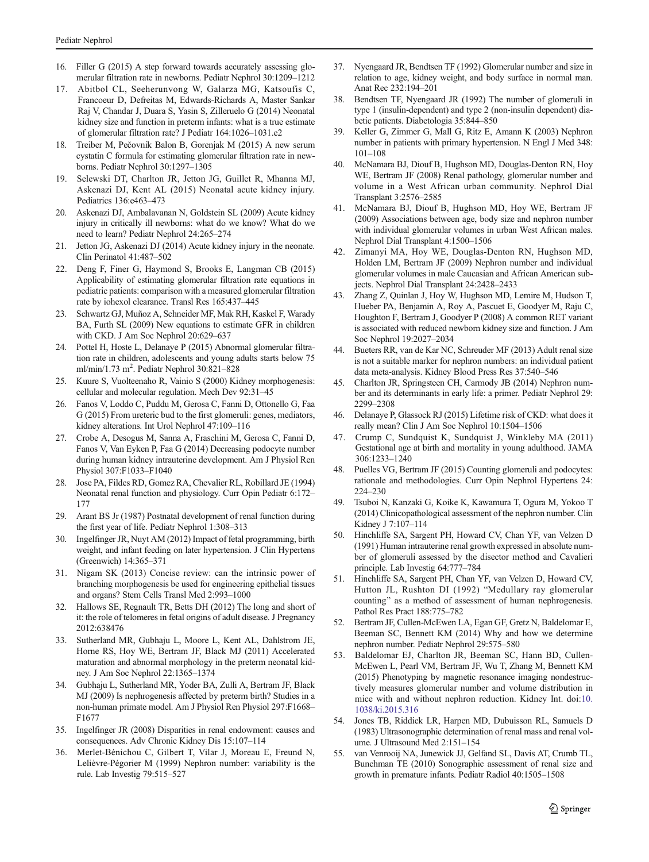- <span id="page-8-0"></span>16. Filler G (2015) A step forward towards accurately assessing glomerular filtration rate in newborns. Pediatr Nephrol 30:1209–1212
- 17. Abitbol CL, Seeherunvong W, Galarza MG, Katsoufis C, Francoeur D, Defreitas M, Edwards-Richards A, Master Sankar Raj V, Chandar J, Duara S, Yasin S, Zilleruelo G (2014) Neonatal kidney size and function in preterm infants: what is a true estimate of glomerular filtration rate? J Pediatr 164:1026–1031.e2
- 18. Treiber M, Pečovnik Balon B, Gorenjak M (2015) A new serum cystatin C formula for estimating glomerular filtration rate in newborns. Pediatr Nephrol 30:1297–1305
- 19. Selewski DT, Charlton JR, Jetton JG, Guillet R, Mhanna MJ, Askenazi DJ, Kent AL (2015) Neonatal acute kidney injury. Pediatrics 136:e463–473
- 20. Askenazi DJ, Ambalavanan N, Goldstein SL (2009) Acute kidney injury in critically ill newborns: what do we know? What do we need to learn? Pediatr Nephrol 24:265–274
- 21. Jetton JG, Askenazi DJ (2014) Acute kidney injury in the neonate. Clin Perinatol 41:487–502
- 22. Deng F, Finer G, Haymond S, Brooks E, Langman CB (2015) Applicability of estimating glomerular filtration rate equations in pediatric patients: comparison with a measured glomerular filtration rate by iohexol clearance. Transl Res 165:437–445
- 23. Schwartz GJ, Muñoz A, Schneider MF, Mak RH, Kaskel F, Warady BA, Furth SL (2009) New equations to estimate GFR in children with CKD. J Am Soc Nephrol 20:629–637
- 24. Pottel H, Hoste L, Delanaye P (2015) Abnormal glomerular filtration rate in children, adolescents and young adults starts below 75 ml/min/1.73 m<sup>2</sup>. Pediatr Nephrol 30:821-828
- 25. Kuure S, Vuolteenaho R, Vainio S (2000) Kidney morphogenesis: cellular and molecular regulation. Mech Dev 92:31–45
- 26. Fanos V, Loddo C, Puddu M, Gerosa C, Fanni D, Ottonello G, Faa G (2015) From ureteric bud to the first glomeruli: genes, mediators, kidney alterations. Int Urol Nephrol 47:109–116
- 27. Crobe A, Desogus M, Sanna A, Fraschini M, Gerosa C, Fanni D, Fanos V, Van Eyken P, Faa G (2014) Decreasing podocyte number during human kidney intrauterine development. Am J Physiol Ren Physiol 307:F1033–F1040
- 28. Jose PA, Fildes RD, Gomez RA, Chevalier RL, Robillard JE (1994) Neonatal renal function and physiology. Curr Opin Pediatr 6:172– 177
- 29. Arant BS Jr (1987) Postnatal development of renal function during the first year of life. Pediatr Nephrol 1:308–313
- 30. Ingelfinger JR, Nuyt AM (2012) Impact of fetal programming, birth weight, and infant feeding on later hypertension. J Clin Hypertens (Greenwich) 14:365–371
- 31. Nigam SK (2013) Concise review: can the intrinsic power of branching morphogenesis be used for engineering epithelial tissues and organs? Stem Cells Transl Med 2:993–1000
- 32. Hallows SE, Regnault TR, Betts DH (2012) The long and short of it: the role of telomeres in fetal origins of adult disease. J Pregnancy 2012:638476
- 33. Sutherland MR, Gubhaju L, Moore L, Kent AL, Dahlstrom JE, Horne RS, Hoy WE, Bertram JF, Black MJ (2011) Accelerated maturation and abnormal morphology in the preterm neonatal kidney. J Am Soc Nephrol 22:1365–1374
- 34. Gubhaju L, Sutherland MR, Yoder BA, Zulli A, Bertram JF, Black MJ (2009) Is nephrogenesis affected by preterm birth? Studies in a non-human primate model. Am J Physiol Ren Physiol 297:F1668– F1677
- 35. Ingelfinger JR (2008) Disparities in renal endowment: causes and consequences. Adv Chronic Kidney Dis 15:107–114
- 36. Merlet-Bénichou C, Gilbert T, Vilar J, Moreau E, Freund N, Lelièvre-Pégorier M (1999) Nephron number: variability is the rule. Lab Investig 79:515–527
- 37. Nyengaard JR, Bendtsen TF (1992) Glomerular number and size in relation to age, kidney weight, and body surface in normal man. Anat Rec 232:194–201
- 38. Bendtsen TF, Nyengaard JR (1992) The number of glomeruli in type 1 (insulin-dependent) and type 2 (non-insulin dependent) diabetic patients. Diabetologia 35:844–850
- 39. Keller G, Zimmer G, Mall G, Ritz E, Amann K (2003) Nephron number in patients with primary hypertension. N Engl J Med 348: 101–108
- 40. McNamara BJ, Diouf B, Hughson MD, Douglas-Denton RN, Hoy WE, Bertram JF (2008) Renal pathology, glomerular number and volume in a West African urban community. Nephrol Dial Transplant 3:2576–2585
- 41. McNamara BJ, Diouf B, Hughson MD, Hoy WE, Bertram JF (2009) Associations between age, body size and nephron number with individual glomerular volumes in urban West African males. Nephrol Dial Transplant 4:1500–1506
- 42. Zimanyi MA, Hoy WE, Douglas-Denton RN, Hughson MD, Holden LM, Bertram JF (2009) Nephron number and individual glomerular volumes in male Caucasian and African American subjects. Nephrol Dial Transplant 24:2428–2433
- 43. Zhang Z, Quinlan J, Hoy W, Hughson MD, Lemire M, Hudson T, Hueber PA, Benjamin A, Roy A, Pascuet E, Goodyer M, Raju C, Houghton F, Bertram J, Goodyer P (2008) A common RET variant is associated with reduced newborn kidney size and function. J Am Soc Nephrol 19:2027–2034
- 44. Bueters RR, van de Kar NC, Schreuder MF (2013) Adult renal size is not a suitable marker for nephron numbers: an individual patient data meta-analysis. Kidney Blood Press Res 37:540–546
- 45. Charlton JR, Springsteen CH, Carmody JB (2014) Nephron number and its determinants in early life: a primer. Pediatr Nephrol 29: 2299–2308
- 46. Delanaye P, Glassock RJ (2015) Lifetime risk of CKD: what does it really mean? Clin J Am Soc Nephrol 10:1504–1506
- 47. Crump C, Sundquist K, Sundquist J, Winkleby MA (2011) Gestational age at birth and mortality in young adulthood. JAMA 306:1233–1240
- 48. Puelles VG, Bertram JF (2015) Counting glomeruli and podocytes: rationale and methodologies. Curr Opin Nephrol Hypertens 24: 224–230
- 49. Tsuboi N, Kanzaki G, Koike K, Kawamura T, Ogura M, Yokoo T (2014) Clinicopathological assessment of the nephron number. Clin Kidney J 7:107–114
- 50. Hinchliffe SA, Sargent PH, Howard CV, Chan YF, van Velzen D (1991) Human intrauterine renal growth expressed in absolute number of glomeruli assessed by the disector method and Cavalieri principle. Lab Investig 64:777–784
- 51. Hinchliffe SA, Sargent PH, Chan YF, van Velzen D, Howard CV, Hutton JL, Rushton DI (1992) "Medullary ray glomerular counting" as a method of assessment of human nephrogenesis. Pathol Res Pract 188:775–782
- 52. Bertram JF, Cullen-McEwen LA, Egan GF, Gretz N, Baldelomar E, Beeman SC, Bennett KM (2014) Why and how we determine nephron number. Pediatr Nephrol 29:575–580
- 53. Baldelomar EJ, Charlton JR, Beeman SC, Hann BD, Cullen-McEwen L, Pearl VM, Bertram JF, Wu T, Zhang M, Bennett KM (2015) Phenotyping by magnetic resonance imaging nondestructively measures glomerular number and volume distribution in mice with and without nephron reduction. Kidney Int. doi:[10.](http://dx.doi.org/10.1038/ki.2015.316) [1038/ki.2015.316](http://dx.doi.org/10.1038/ki.2015.316)
- 54. Jones TB, Riddick LR, Harpen MD, Dubuisson RL, Samuels D (1983) Ultrasonographic determination of renal mass and renal volume. J Ultrasound Med 2:151–154
- 55. van Venrooij NA, Junewick JJ, Gelfand SL, Davis AT, Crumb TL, Bunchman TE (2010) Sonographic assessment of renal size and growth in premature infants. Pediatr Radiol 40:1505–1508